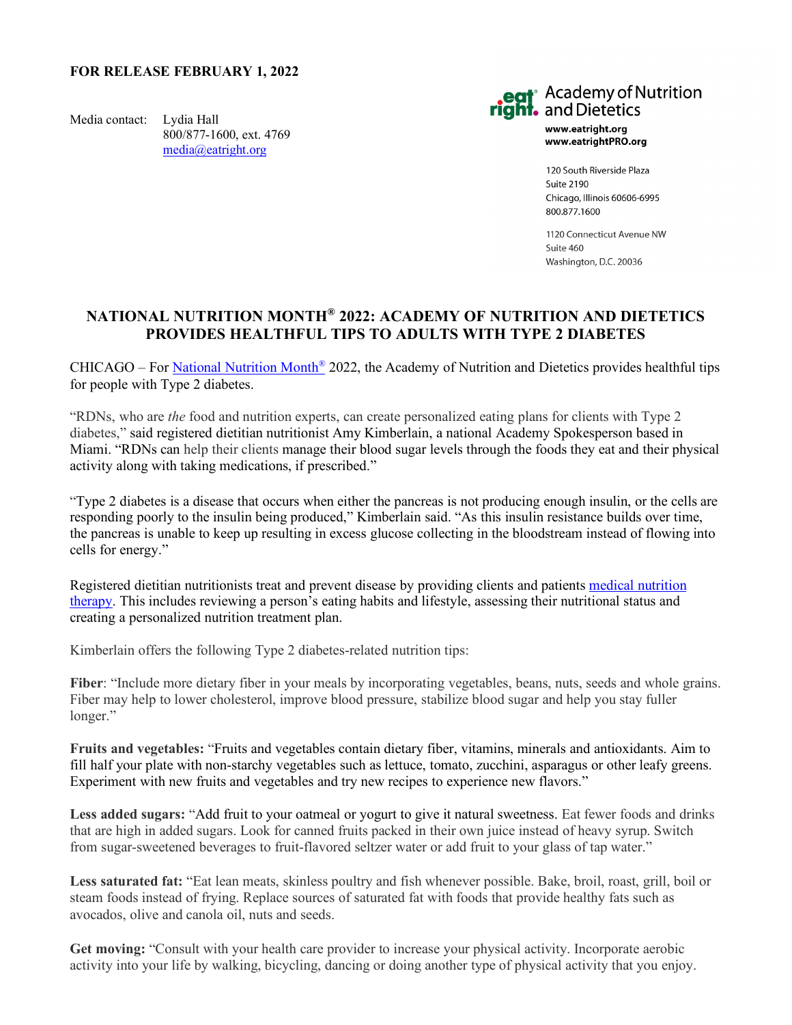## **FOR RELEASE FEBRUARY 1, 2022**

Media contact: Lydia Hall 800/877-1600, ext. 4769 [media@eatright.org](mailto:media@eatright.org)



www.eatright.org www.eatrightPRO.org

120 South Riverside Plaza Suite 2190 Chicago, Illinois 60606-6995 800.877.1600

1120 Connecticut Avenue NW Suite 460 Washington, D.C. 20036

## **NATIONAL NUTRITION MONTH® 2022: ACADEMY OF NUTRITION AND DIETETICS PROVIDES HEALTHFUL TIPS TO ADULTS WITH TYPE 2 DIABETES**

CHICAGO – For National Nutrition Month<sup>®</sup> 2022, the Academy of Nutrition and Dietetics provides healthful tips for people with Type 2 diabetes.

"RDNs, who are *the* food and nutrition experts, can create personalized eating plans for clients with Type 2 diabetes," said registered dietitian nutritionist Amy Kimberlain, a national Academy Spokesperson based in Miami. "RDNs can help their clients manage their blood sugar levels through the foods they eat and their physical activity along with taking medications, if prescribed."

"Type 2 diabetes is a disease that occurs when either the pancreas is not producing enough insulin, or the cells are responding poorly to the insulin being produced," Kimberlain said. "As this insulin resistance builds over time, the pancreas is unable to keep up resulting in excess glucose collecting in the bloodstream instead of flowing into cells for energy."

Registered dietitian nutritionists treat and prevent disease by providing clients and patients [medical nutrition](https://www.eatright.org/food/resources/learn-more-about-rdns/rdns-and-medical-nutrition-therapy-services)  [therapy.](https://www.eatright.org/food/resources/learn-more-about-rdns/rdns-and-medical-nutrition-therapy-services) This includes reviewing a person's eating habits and lifestyle, assessing their nutritional status and creating a personalized nutrition treatment plan.

Kimberlain offers the following Type 2 diabetes-related nutrition tips:

**Fiber**: "Include more dietary fiber in your meals by incorporating vegetables, beans, nuts, seeds and whole grains. Fiber may help to lower cholesterol, improve blood pressure, stabilize blood sugar and help you stay fuller longer."

**Fruits and vegetables:** "Fruits and vegetables contain dietary fiber, vitamins, minerals and antioxidants. Aim to fill half your plate with non-starchy vegetables such as lettuce, tomato, zucchini, asparagus or other leafy greens. Experiment with new fruits and vegetables and try new recipes to experience new flavors."

Less added sugars: "Add fruit to your oatmeal or yogurt to give it natural sweetness. Eat fewer foods and drinks that are high in added sugars. Look for canned fruits packed in their own juice instead of heavy syrup. Switch from sugar-sweetened beverages to fruit-flavored seltzer water or add fruit to your glass of tap water."

**Less saturated fat:** "Eat lean meats, skinless poultry and fish whenever possible. Bake, broil, roast, grill, boil or steam foods instead of frying. Replace sources of saturated fat with foods that provide healthy fats such as avocados, olive and canola oil, nuts and seeds.

**Get moving:** "Consult with your health care provider to increase your physical activity. Incorporate aerobic activity into your life by walking, bicycling, dancing or doing another type of physical activity that you enjoy.